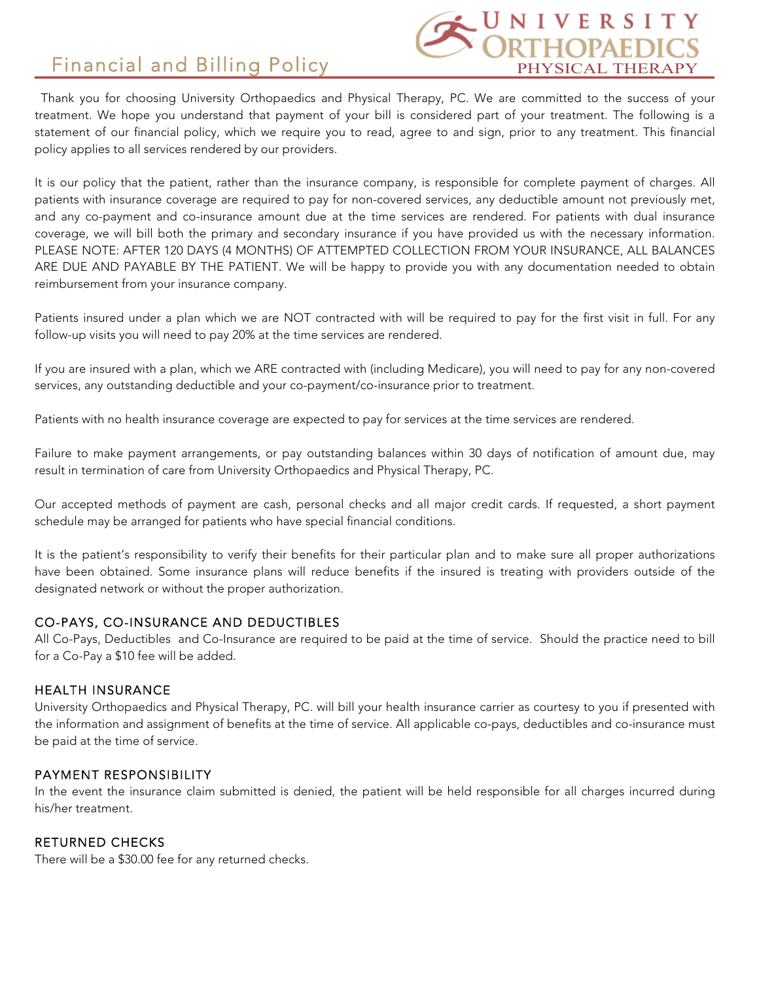# Financial and Billing Policy



Thank you for choosing University Orthopaedics and Physical Therapy, PC. We are committed to the success of your treatment. We hope you understand that payment of your bill is considered part of your treatment. The following is a statement of our financial policy, which we require you to read, agree to and sign, prior to any treatment. This financial policy applies to all services rendered by our providers.

It is our policy that the patient, rather than the insurance company, is responsible for complete payment of charges. All patients with insurance coverage are required to pay for non-covered services, any deductible amount not previously met, and any co-payment and co-insurance amount due at the time services are rendered. For patients with dual insurance coverage, we will bill both the primary and secondary insurance if you have provided us with the necessary information. PLEASE NOTE: AFTER 120 DAYS (4 MONTHS) OF ATTEMPTED COLLECTION FROM YOUR INSURANCE, ALL BALANCES ARE DUE AND PAYABLE BY THE PATIENT. We will be happy to provide you with any documentation needed to obtain reimbursement from your insurance company.

Patients insured under a plan which we are NOT contracted with will be required to pay for the first visit in full. For any follow-up visits you will need to pay 20% at the time services are rendered.

If you are insured with a plan, which we ARE contracted with (including Medicare), you will need to pay for any non-covered services, any outstanding deductible and your co-payment/co-insurance prior to treatment.

Patients with no health insurance coverage are expected to pay for services at the time services are rendered.

Failure to make payment arrangements, or pay outstanding balances within 30 days of notification of amount due, may result in termination of care from University Orthopaedics and Physical Therapy, PC.

Our accepted methods of payment are cash, personal checks and all major credit cards. If requested, a short payment schedule may be arranged for patients who have special financial conditions.

It is the patient's responsibility to verify their benefits for their particular plan and to make sure all proper authorizations have been obtained. Some insurance plans will reduce benefits if the insured is treating with providers outside of the designated network or without the proper authorization.

#### CO-PAYS, CO-INSURANCE AND DEDUCTIBLES

All Co-Pays, Deductibles and Co-Insurance are required to be paid at the time of service. Should the practice need to bill for a Co-Pay a \$10 fee will be added.

#### HEALTH INSURANCE

University Orthopaedics and Physical Therapy, PC. will bill your health insurance carrier as courtesy to you if presented with the information and assignment of benefits at the time of service. All applicable co-pays, deductibles and co-insurance must be paid at the time of service.

#### PAYMENT RESPONSIBILITY

In the event the insurance claim submitted is denied, the patient will be held responsible for all charges incurred during his/her treatment.

#### RETURNED CHECKS

There will be a \$30.00 fee for any returned checks.